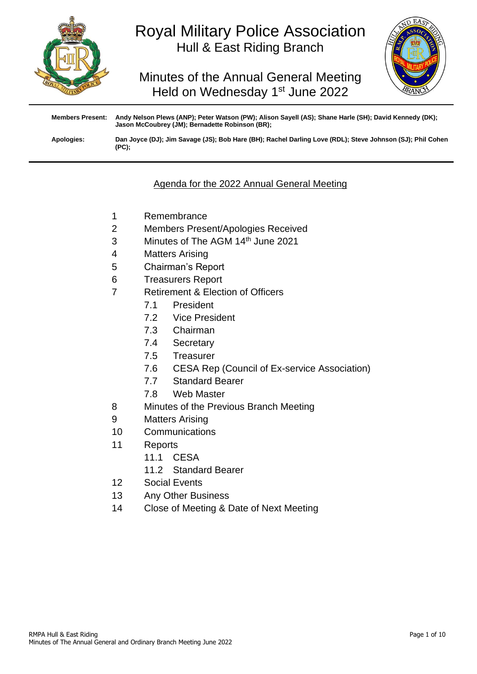

# Royal Military Police Association Hull & East Riding Branch

Minutes of the Annual General Meeting Held on Wednesday 1<sup>st</sup> June 2022



**Members Present: Andy Nelson Plews (ANP); Peter Watson (PW); Alison Sayell (AS); Shane Harle (SH); David Kennedy (DK); Jason McCoubrey (JM); Bernadette Robinson (BR); Apologies: Dan Joyce (DJ); Jim Savage (JS); Bob Hare (BH); Rachel Darling Love (RDL); Steve Johnson (SJ); Phil Cohen (PC);**

## Agenda for the 2022 Annual General Meeting

- 1 Remembrance
- 2 Members Present/Apologies Received
- 3 Minutes of The AGM 14<sup>th</sup> June 2021
- 4 Matters Arising
- 5 Chairman's Report
- 6 Treasurers Report
- 7 Retirement & Election of Officers
	- 7.1 President
	- 7.2 Vice President
	- 7.3 Chairman
	- 7.4 Secretary
	- 7.5 Treasurer
	- 7.6 CESA Rep (Council of Ex-service Association)
	- 7.7 Standard Bearer
	- 7.8 Web Master
- 8 Minutes of the Previous Branch Meeting
- 9 Matters Arising
- 10 Communications
- 11 Reports
	- 11.1 CESA
	- 11.2 Standard Bearer
- 12 Social Events
- 13 Any Other Business
- 14 Close of Meeting & Date of Next Meeting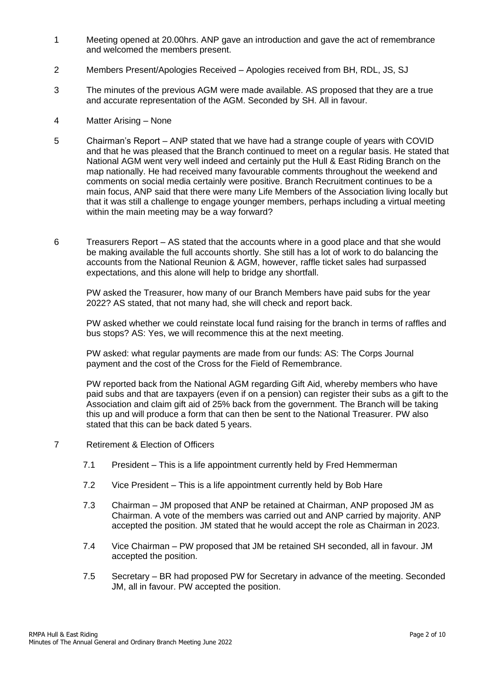- 1 Meeting opened at 20.00hrs. ANP gave an introduction and gave the act of remembrance and welcomed the members present.
- 2 Members Present/Apologies Received Apologies received from BH, RDL, JS, SJ
- 3 The minutes of the previous AGM were made available. AS proposed that they are a true and accurate representation of the AGM. Seconded by SH. All in favour.
- 4 Matter Arising None
- 5 Chairman's Report ANP stated that we have had a strange couple of years with COVID and that he was pleased that the Branch continued to meet on a regular basis. He stated that National AGM went very well indeed and certainly put the Hull & East Riding Branch on the map nationally. He had received many favourable comments throughout the weekend and comments on social media certainly were positive. Branch Recruitment continues to be a main focus, ANP said that there were many Life Members of the Association living locally but that it was still a challenge to engage younger members, perhaps including a virtual meeting within the main meeting may be a way forward?
- 6 Treasurers Report AS stated that the accounts where in a good place and that she would be making available the full accounts shortly. She still has a lot of work to do balancing the accounts from the National Reunion & AGM, however, raffle ticket sales had surpassed expectations, and this alone will help to bridge any shortfall.

PW asked the Treasurer, how many of our Branch Members have paid subs for the year 2022? AS stated, that not many had, she will check and report back.

PW asked whether we could reinstate local fund raising for the branch in terms of raffles and bus stops? AS: Yes, we will recommence this at the next meeting.

PW asked: what regular payments are made from our funds: AS: The Corps Journal payment and the cost of the Cross for the Field of Remembrance.

PW reported back from the National AGM regarding Gift Aid, whereby members who have paid subs and that are taxpayers (even if on a pension) can register their subs as a gift to the Association and claim gift aid of 25% back from the government. The Branch will be taking this up and will produce a form that can then be sent to the National Treasurer. PW also stated that this can be back dated 5 years.

- 7 Retirement & Election of Officers
	- 7.1 President This is a life appointment currently held by Fred Hemmerman
	- 7.2 Vice President This is a life appointment currently held by Bob Hare
	- 7.3 Chairman JM proposed that ANP be retained at Chairman, ANP proposed JM as Chairman. A vote of the members was carried out and ANP carried by majority. ANP accepted the position. JM stated that he would accept the role as Chairman in 2023.
	- 7.4 Vice Chairman PW proposed that JM be retained SH seconded, all in favour. JM accepted the position.
	- 7.5 Secretary BR had proposed PW for Secretary in advance of the meeting. Seconded JM, all in favour. PW accepted the position.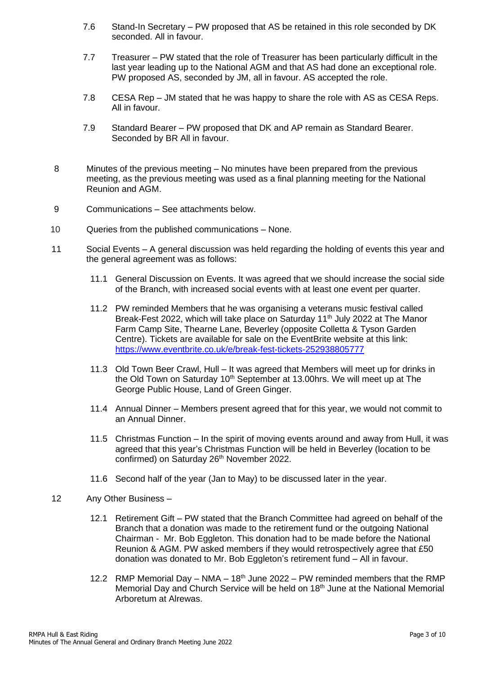- 7.6 Stand-In Secretary PW proposed that AS be retained in this role seconded by DK seconded. All in favour.
- 7.7 Treasurer PW stated that the role of Treasurer has been particularly difficult in the last year leading up to the National AGM and that AS had done an exceptional role. PW proposed AS, seconded by JM, all in favour. AS accepted the role.
- 7.8 CESA Rep JM stated that he was happy to share the role with AS as CESA Reps. All in favour.
- 7.9 Standard Bearer PW proposed that DK and AP remain as Standard Bearer. Seconded by BR All in favour.
- 8 Minutes of the previous meeting No minutes have been prepared from the previous meeting, as the previous meeting was used as a final planning meeting for the National Reunion and AGM.
- 9 Communications See attachments below.
- 10 Queries from the published communications None.
- 11 Social Events A general discussion was held regarding the holding of events this year and the general agreement was as follows:
	- 11.1 General Discussion on Events. It was agreed that we should increase the social side of the Branch, with increased social events with at least one event per quarter.
	- 11.2 PW reminded Members that he was organising a veterans music festival called Break-Fest 2022, which will take place on Saturday  $11<sup>th</sup>$  July 2022 at The Manor Farm Camp Site, Thearne Lane, Beverley (opposite Colletta & Tyson Garden Centre). Tickets are available for sale on the EventBrite website at this link: <https://www.eventbrite.co.uk/e/break-fest-tickets-252938805777>
	- 11.3 Old Town Beer Crawl, Hull It was agreed that Members will meet up for drinks in the Old Town on Saturday 10<sup>th</sup> September at 13.00hrs. We will meet up at The George Public House, Land of Green Ginger.
	- 11.4 Annual Dinner Members present agreed that for this year, we would not commit to an Annual Dinner.
	- 11.5 Christmas Function In the spirit of moving events around and away from Hull, it was agreed that this year's Christmas Function will be held in Beverley (location to be confirmed) on Saturday 26<sup>th</sup> November 2022.
	- 11.6 Second half of the year (Jan to May) to be discussed later in the year.
- 12 Any Other Business
	- 12.1 Retirement Gift PW stated that the Branch Committee had agreed on behalf of the Branch that a donation was made to the retirement fund or the outgoing National Chairman - Mr. Bob Eggleton. This donation had to be made before the National Reunion & AGM. PW asked members if they would retrospectively agree that £50 donation was donated to Mr. Bob Eggleton's retirement fund – All in favour.
	- 12.2 RMP Memorial Day NMA  $18<sup>th</sup>$  June 2022 PW reminded members that the RMP Memorial Day and Church Service will be held on 18<sup>th</sup> June at the National Memorial Arboretum at Alrewas.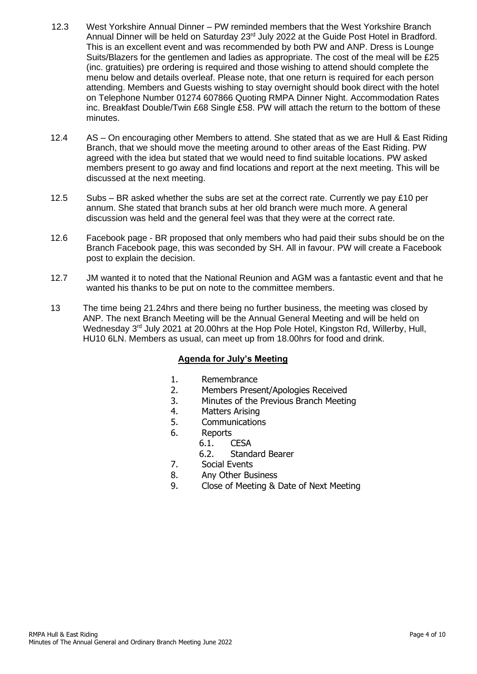- 12.3 West Yorkshire Annual Dinner PW reminded members that the West Yorkshire Branch Annual Dinner will be held on Saturday 23rd July 2022 at the Guide Post Hotel in Bradford. This is an excellent event and was recommended by both PW and ANP. Dress is Lounge Suits/Blazers for the gentlemen and ladies as appropriate. The cost of the meal will be £25 (inc. gratuities) pre ordering is required and those wishing to attend should complete the menu below and details overleaf. Please note, that one return is required for each person attending. Members and Guests wishing to stay overnight should book direct with the hotel on Telephone Number 01274 607866 Quoting RMPA Dinner Night. Accommodation Rates inc. Breakfast Double/Twin £68 Single £58. PW will attach the return to the bottom of these minutes.
- 12.4 AS On encouraging other Members to attend. She stated that as we are Hull & East Riding Branch, that we should move the meeting around to other areas of the East Riding. PW agreed with the idea but stated that we would need to find suitable locations. PW asked members present to go away and find locations and report at the next meeting. This will be discussed at the next meeting.
- 12.5 Subs BR asked whether the subs are set at the correct rate. Currently we pay  $£10$  per annum. She stated that branch subs at her old branch were much more. A general discussion was held and the general feel was that they were at the correct rate.
- 12.6 Facebook page BR proposed that only members who had paid their subs should be on the Branch Facebook page, this was seconded by SH. All in favour. PW will create a Facebook post to explain the decision.
- 12.7 JM wanted it to noted that the National Reunion and AGM was a fantastic event and that he wanted his thanks to be put on note to the committee members.
- 13 The time being 21.24hrs and there being no further business, the meeting was closed by ANP. The next Branch Meeting will be the Annual General Meeting and will be held on Wednesday 3<sup>rd</sup> July 2021 at 20.00hrs at the Hop Pole Hotel, Kingston Rd, Willerby, Hull, HU10 6LN. Members as usual, can meet up from 18.00hrs for food and drink.

### **Agenda for July's Meeting**

- 1. Remembrance
- 2. Members Present/Apologies Received
- 3. Minutes of the Previous Branch Meeting
- 4. Matters Arising
- 5. Communications
- 6. Reports
	- 6.1. CESA
		- 6.2. Standard Bearer
- 7. Social Events
- 8. Any Other Business
- 9. Close of Meeting & Date of Next Meeting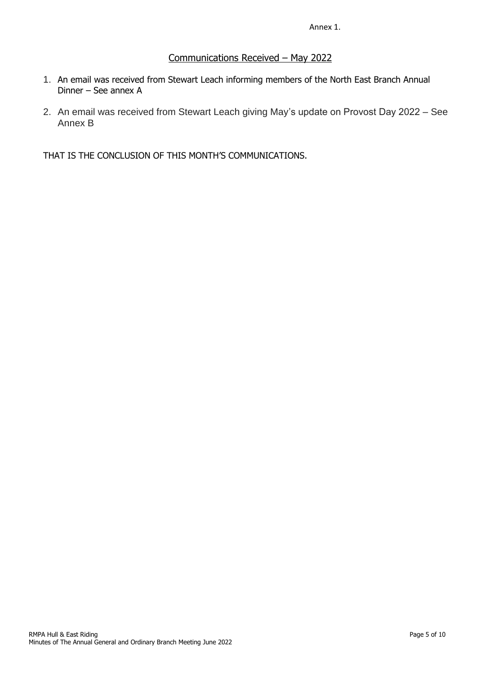Annex 1.

## Communications Received – May 2022

- 1. An email was received from Stewart Leach informing members of the North East Branch Annual Dinner – See annex A
- 2. An email was received from Stewart Leach giving May's update on Provost Day 2022 See Annex B

THAT IS THE CONCLUSION OF THIS MONTH'S COMMUNICATIONS.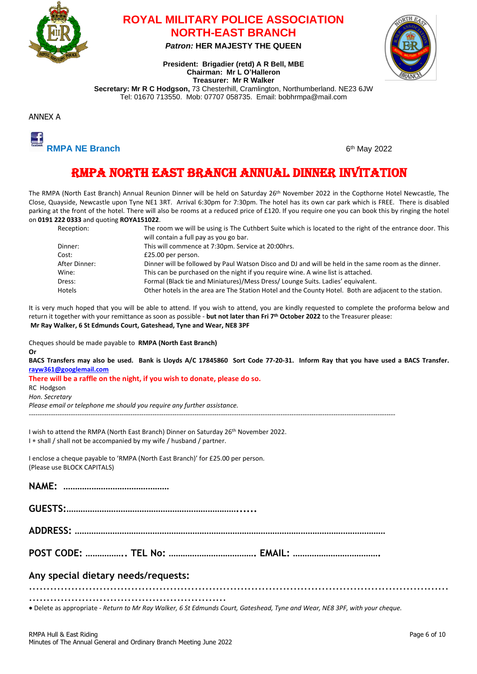

## **ROYAL MILITARY POLICE ASSOCIATION NORTH-EAST BRANCH**

*Patron:* **HER MAJESTY THE QUEEN**

**President: Brigadier (retd) A R Bell, MBE Chairman: Mr L O'Halleron**



**Treasurer: Mr R Walker Secretary: Mr R C Hodgson,** 73 Chesterhill, Cramlington, Northumberland. NE23 6JW Tel: 01670 713550. Mob: 07707 058735. Email: bobhrmpa@mail.com





6<sup>th</sup> May 2022

## RMPA NORTH EAST BRANCH ANNUAL DINNER INVITATION

The RMPA (North East Branch) Annual Reunion Dinner will be held on Saturday 26th November 2022 in the Copthorne Hotel Newcastle, The Close, Quayside, Newcastle upon Tyne NE1 3RT. Arrival 6:30pm for 7:30pm. The hotel has its own car park which is FREE. There is disabled parking at the front of the hotel. There will also be rooms at a reduced price of £120. If you require one you can book this by ringing the hotel on **0191 222 0333** and quoting **ROYA151022**.

| Reception:    | The room we will be using is The Cuthbert Suite which is located to the right of the entrance door. This |
|---------------|----------------------------------------------------------------------------------------------------------|
|               | will contain a full pay as you go bar.                                                                   |
| Dinner:       | This will commence at 7:30pm. Service at 20:00hrs.                                                       |
| Cost:         | £25.00 per person.                                                                                       |
| After Dinner: | Dinner will be followed by Paul Watson Disco and DJ and will be held in the same room as the dinner.     |
| Wine:         | This can be purchased on the night if you require wine. A wine list is attached.                         |
| Dress:        | Formal (Black tie and Miniatures)/Mess Dress/ Lounge Suits. Ladies' equivalent.                          |
| <b>Hotels</b> | Other hotels in the area are The Station Hotel and the County Hotel. Both are adjacent to the station.   |

It is very much hoped that you will be able to attend. If you wish to attend, you are kindly requested to complete the proforma below and return it together with your remittance as soon as possible - **but not later than Fri 7 th October 2022** to the Treasurer please: **Mr Ray Walker, 6 St Edmunds Court, Gateshead, Tyne and Wear, NE8 3PF**

| Cheques should be made payable to RMPA (North East Branch)<br>Or                                                                                                                                                                                |
|-------------------------------------------------------------------------------------------------------------------------------------------------------------------------------------------------------------------------------------------------|
| BACS Transfers may also be used. Bank is Lloyds A/C 17845860 Sort Code 77-20-31. Inform Ray that you have used a BACS Transfer.<br>rayw361@googlemail.com                                                                                       |
| There will be a raffle on the night, if you wish to donate, please do so.<br>RC Hodgson                                                                                                                                                         |
| Hon. Secretary<br>Please email or telephone me should you require any further assistance.                                                                                                                                                       |
| I wish to attend the RMPA (North East Branch) Dinner on Saturday 26th November 2022.<br>I * shall / shall not be accompanied by my wife / husband / partner.<br>I enclose a cheque payable to 'RMPA (North East Branch)' for £25.00 per person. |
| (Please use BLOCK CAPITALS)                                                                                                                                                                                                                     |
|                                                                                                                                                                                                                                                 |
|                                                                                                                                                                                                                                                 |
|                                                                                                                                                                                                                                                 |
|                                                                                                                                                                                                                                                 |
| Any special dietary needs/requests:                                                                                                                                                                                                             |

Delete as appropriate - *Return to Mr Ray Walker, 6 St Edmunds Court, Gateshead, Tyne and Wear, NE8 3PF, with your cheque.*

........................................................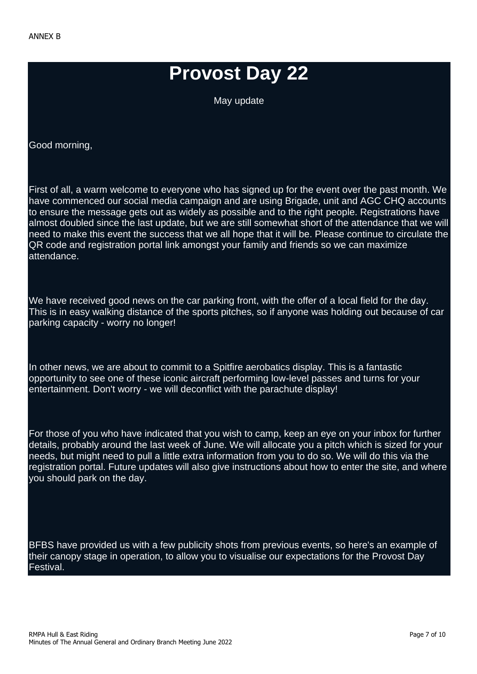# **Provost Day 22**

May update

Good morning,

First of all, a warm welcome to everyone who has signed up for the event over the past month. We have commenced our social media campaign and are using Brigade, unit and AGC CHQ accounts to ensure the message gets out as widely as possible and to the right people. Registrations have almost doubled since the last update, but we are still somewhat short of the attendance that we will need to make this event the success that we all hope that it will be. Please continue to circulate the QR code and registration portal link amongst your family and friends so we can maximize attendance.

We have received good news on the car parking front, with the offer of a local field for the day. This is in easy walking distance of the sports pitches, so if anyone was holding out because of car parking capacity - worry no longer!

In other news, we are about to commit to a Spitfire aerobatics display. This is a fantastic opportunity to see one of these iconic aircraft performing low-level passes and turns for your entertainment. Don't worry - we will deconflict with the parachute display!

For those of you who have indicated that you wish to camp, keep an eye on your inbox for further details, probably around the last week of June. We will allocate you a pitch which is sized for your needs, but might need to pull a little extra information from you to do so. We will do this via the registration portal. Future updates will also give instructions about how to enter the site, and where you should park on the day.

BFBS have provided us with a few publicity shots from previous events, so here's an example of their canopy stage in operation, to allow you to visualise our expectations for the Provost Day Festival.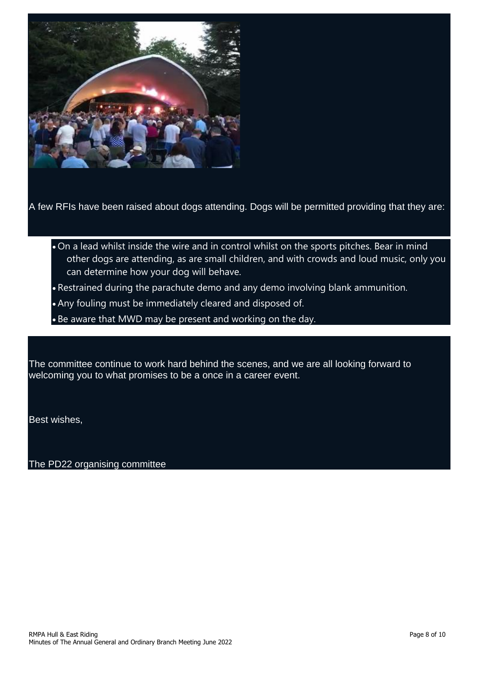

A few RFIs have been raised about dogs attending. Dogs will be permitted providing that they are:

- On a lead whilst inside the wire and in control whilst on the sports pitches. Bear in mind other dogs are attending, as are small children, and with crowds and loud music, only you can determine how your dog will behave.
- Restrained during the parachute demo and any demo involving blank ammunition.
- Any fouling must be immediately cleared and disposed of.
- Be aware that MWD may be present and working on the day.

The committee continue to work hard behind the scenes, and we are all looking forward to welcoming you to what promises to be a once in a career event.

Best wishes,

The PD22 organising committee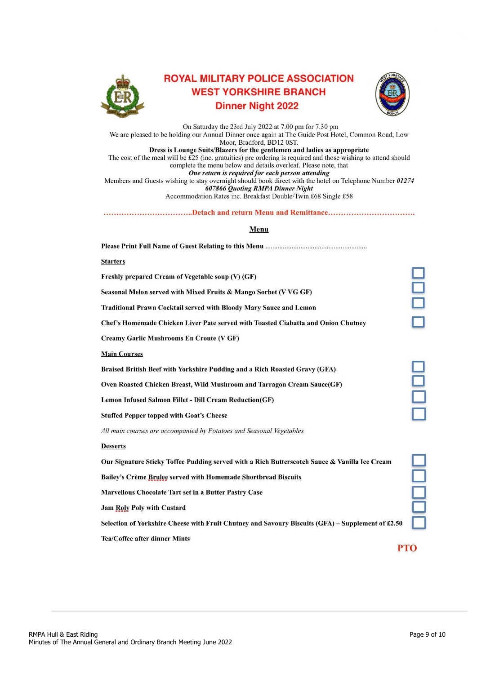

## **ROYAL MILITARY POLICE ASSOCIATION WEST YORKSHIRE BRANCH Dinner Night 2022**



On Saturday the 23rd July 2022 at 7.00 pm for 7.30 pm<br>We are pleased to be holding our Annual Dinner once again at The Guide Post Hotel, Common Road, Low Moor, Bradford, BD12 0ST. Dress is Lounge Suits/Blazers for the gentlemen and ladies as appropriate The cost of the meal will be  $£25$  (inc. gratuities) pre ordering is required and those wishing to attend should complete the menu below and details overleaf. Please note, that One return is required for each person attending Members and Guests wishing to stay overnight should book direct with the hotel on Telephone Number 01274 **607866 Quoting RMPA Dinner Night** Accommodation Rates inc. Breakfast Double/Twin £68 Single £58

### 

#### Menu

| <b>Starters</b>                                                                                   |           |
|---------------------------------------------------------------------------------------------------|-----------|
| Freshly prepared Cream of Vegetable soup (V) (GF)                                                 |           |
| Seasonal Melon served with Mixed Fruits & Mango Sorbet (V VG GF)                                  |           |
| <b>Traditional Prawn Cocktail served with Bloody Mary Sauce and Lemon</b>                         |           |
| Chef's Homemade Chicken Liver Pate served with Toasted Ciabatta and Onion Chutney                 |           |
| <b>Creamy Garlic Mushrooms En Croute (V GF)</b>                                                   |           |
| <b>Main Courses</b>                                                                               |           |
| Braised British Beef with Yorkshire Pudding and a Rich Roasted Gravy (GFA)                        |           |
| Oven Roasted Chicken Breast, Wild Mushroom and Tarragon Cream Sauce(GF)                           | $\exists$ |
| <b>Lemon Infused Salmon Fillet - Dill Cream Reduction(GF)</b>                                     |           |
| <b>Stuffed Pepper topped with Goat's Cheese</b>                                                   |           |
| All main courses are accompanied by Potatoes and Seasonal Vegetables                              |           |
| <b>Desserts</b>                                                                                   |           |
| Our Signature Sticky Toffee Pudding served with a Rich Butterscotch Sauce & Vanilla Ice Cream     |           |
| Bailey's Crème Brulee served with Homemade Shortbread Biscuits                                    |           |
| Marvellous Chocolate Tart set in a Butter Pastry Case                                             |           |
| <b>Jam Roly Poly with Custard</b>                                                                 |           |
| Selection of Yorkshire Cheese with Fruit Chutney and Savoury Biscuits (GFA) – Supplement of £2.50 |           |
| <b>Tea/Coffee after dinner Mints</b>                                                              |           |
|                                                                                                   | PTO       |